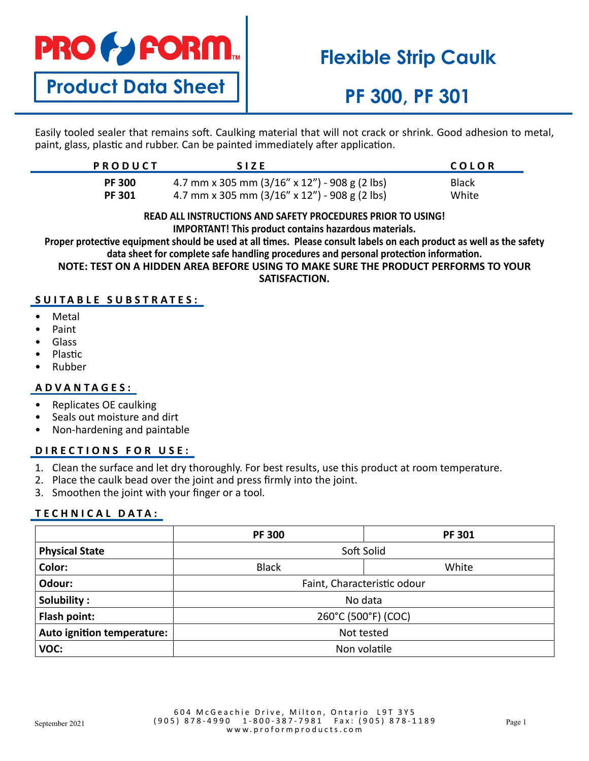

# **Flexible Strip Caulk**

**Product Data Sheet**

# **PF 300, PF 301**

Easily tooled sealer that remains soft. Caulking material that will not crack or shrink. Good adhesion to metal, paint, glass, plastic and rubber. Can be painted immediately after application.

| <b>PRODUCT</b> | <b>SIZE</b>                                            | COLOR        |
|----------------|--------------------------------------------------------|--------------|
| <b>PF 300</b>  | 4.7 mm x 305 mm $(3/16" \times 12")$ - 908 g (2 lbs)   | <b>Black</b> |
| <b>PF301</b>   | 4.7 mm x 305 mm $(3/16'' \times 12'') - 908$ g (2 lbs) | White        |

## **READ ALL INSTRUCTIONS AND SAFETY PROCEDURES PRIOR TO USING!**

**IMPORTANT! This product contains hazardous materials.**

**Proper protective equipment should be used at all times. Please consult labels on each product as well as the safety data sheet for complete safe handling procedures and personal protection information.**

**NOTE: TEST ON A HIDDEN AREA BEFORE USING TO MAKE SURE THE PRODUCT PERFORMS TO YOUR** 

**SATISFACTION.**

### **SUITABLE SUBSTRATES:**

- **Metal**
- Paint
- Glass
- Plastic
- Rubber

### **ADVANTAGES:**

- Replicates OE caulking
- Seals out moisture and dirt
- Non-hardening and paintable

### **DIRECTIONS FOR USE:**

- 1. Clean the surface and let dry thoroughly. For best results, use this product at room temperature.
- 2. Place the caulk bead over the joint and press firmly into the joint.
- 3. Smoothen the joint with your finger or a tool.

### **TECHNICAL DATA:**

|                            | <b>PF 300</b>               | <b>PF 301</b> |  |
|----------------------------|-----------------------------|---------------|--|
| <b>Physical State</b>      | Soft Solid                  |               |  |
| Color:                     | <b>Black</b>                | White         |  |
| Odour:                     | Faint, Characteristic odour |               |  |
| Solubility:                | No data                     |               |  |
| Flash point:               | 260°C (500°F) (COC)         |               |  |
| Auto ignition temperature: | Not tested                  |               |  |
| VOC:                       | Non volatile                |               |  |